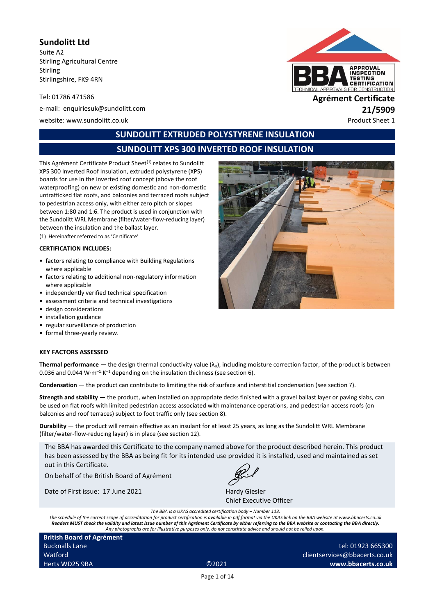**Sundolitt Ltd**

Suite A2 Stirling Agricultural Centre Stirling Stirlingshire, FK9 4RN

Tel: 01786 471586 **Agrément Certificate**

e-mail: enquiriesuk@sundolitt.com **21/5909**

website: www.sundolitt.co.uk Product Sheet 1



# **SUNDOLITT EXTRUDED POLYSTYRENE INSULATION**

# **SUNDOLITT XPS 300 INVERTED ROOF INSULATION**

This Agrément Certificate Product Sheet<sup>(1)</sup> relates to Sundolitt XPS 300 Inverted Roof Insulation, extruded polystyrene (XPS) boards for use in the inverted roof concept (above the roof waterproofing) on new or existing domestic and non-domestic untrafficked flat roofs, and balconies and terraced roofs subject to pedestrian access only, with either zero pitch or slopes between 1:80 and 1:6. The product is used in conjunction with the Sundolitt WRL Membrane (filter/water-flow-reducing layer) between the insulation and the ballast layer.

(1) Hereinafter referred to as 'Certificate'

#### **CERTIFICATION INCLUDES:**

- factors relating to compliance with Building Regulations where applicable
- factors relating to additional non-regulatory information where applicable
- independently verified technical specification
- assessment criteria and technical investigations
- design considerations
- installation guidance
- regular surveillance of production
- formal three-yearly review.

#### **KEY FACTORS ASSESSED**

**Thermal performance** — the design thermal conductivity value  $(\lambda_u)$ , including moisture correction factor, of the product is between 0.036 and 0.044 W·m<sup>-1</sup>·K<sup>-1</sup> depending on the insulation thickness (see section 6).

**Condensation** — the product can contribute to limiting the risk of surface and interstitial condensation (see section 7).

**Strength and stability** — the product, when installed on appropriate decks finished with a gravel ballast layer or paving slabs, can be used on flat roofs with limited pedestrian access associated with maintenance operations, and pedestrian access roofs (on balconies and roof terraces) subject to foot traffic only (see section 8).

**Durability** — the product will remain effective as an insulant for at least 25 years, as long as the Sundolitt WRL Membrane (filter/water-flow-reducing layer) is in place (see section 12).

The BBA has awarded this Certificate to the company named above for the product described herein. This product has been assessed by the BBA as being fit for its intended use provided it is installed, used and maintained as set out in this Certificate.

On behalf of the British Board of Agrément

Date of First issue: 17 June 2021 Hardy Giesler



Chief Executive Officer

*The BBA is a UKAS accredited certification body – Number 113.*

*The schedule of the current scope of accreditation for product certification is available in pdf format via the UKAS link on the BBA website at www.bbacerts.co.uk Readers MUST check the validity and latest issue number of this Agrément Certificate by either referring to the BBA website or contacting the BBA directly. Any photographs are for illustrative purposes only, do not constitute advice and should not be relied upon.*

**British Board of Agrément** Bucknalls Lane Watford Herts WD25 9BA ©2021

tel: 01923 665300 clientservices@bbacerts.co.uk **www.bbacerts.co.uk**

Page 1 of 14

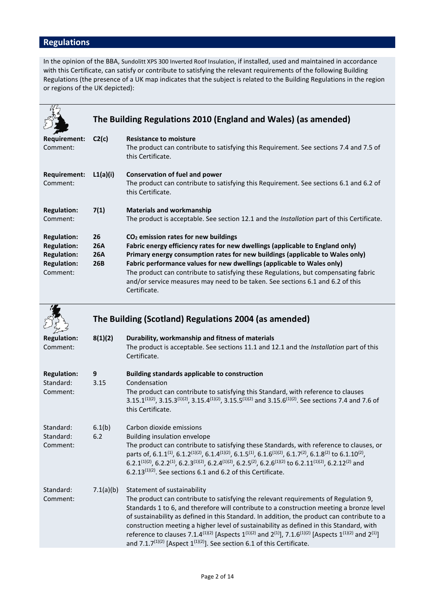# **Regulations**

In the opinion of the BBA, Sundolitt XPS 300 Inverted Roof Insulation, if installed, used and maintained in accordance with this Certificate, can satisfy or contribute to satisfying the relevant requirements of the following Building Regulations (the presence of a UK map indicates that the subject is related to the Building Regulations in the region or regions of the UK depicted):

|                                                                                                  | The Building Regulations 2010 (England and Wales) (as amended) |                                                                                                                                                                                                                                                                                                                                                                                                                                                                                       |  |
|--------------------------------------------------------------------------------------------------|----------------------------------------------------------------|---------------------------------------------------------------------------------------------------------------------------------------------------------------------------------------------------------------------------------------------------------------------------------------------------------------------------------------------------------------------------------------------------------------------------------------------------------------------------------------|--|
| Requirement:<br>Comment:                                                                         | C2(c)                                                          | <b>Resistance to moisture</b><br>The product can contribute to satisfying this Requirement. See sections 7.4 and 7.5 of<br>this Certificate.                                                                                                                                                                                                                                                                                                                                          |  |
| Requirement:<br>Comment:                                                                         | L1(a)(i)                                                       | Conservation of fuel and power<br>The product can contribute to satisfying this Requirement. See sections 6.1 and 6.2 of<br>this Certificate.                                                                                                                                                                                                                                                                                                                                         |  |
| <b>Regulation:</b><br>Comment:                                                                   | 7(1)                                                           | <b>Materials and workmanship</b><br>The product is acceptable. See section 12.1 and the <i>Installation</i> part of this Certificate.                                                                                                                                                                                                                                                                                                                                                 |  |
| <b>Regulation:</b><br><b>Regulation:</b><br><b>Regulation:</b><br><b>Regulation:</b><br>Comment: | 26<br><b>26A</b><br><b>26A</b><br>26B                          | CO <sub>2</sub> emission rates for new buildings<br>Fabric energy efficiency rates for new dwellings (applicable to England only)<br>Primary energy consumption rates for new buildings (applicable to Wales only)<br>Fabric performance values for new dwellings (applicable to Wales only)<br>The product can contribute to satisfying these Regulations, but compensating fabric<br>and/or service measures may need to be taken. See sections 6.1 and 6.2 of this<br>Certificate. |  |

|                                             | The Building (Scotland) Regulations 2004 (as amended) |                                                                                                                                                                                                                                                                                                                                                                                                                                                                                                                                                                                                                                                                                       |
|---------------------------------------------|-------------------------------------------------------|---------------------------------------------------------------------------------------------------------------------------------------------------------------------------------------------------------------------------------------------------------------------------------------------------------------------------------------------------------------------------------------------------------------------------------------------------------------------------------------------------------------------------------------------------------------------------------------------------------------------------------------------------------------------------------------|
| <b>Regulation:</b><br>Comment:              | 8(1)(2)                                               | Durability, workmanship and fitness of materials<br>The product is acceptable. See sections 11.1 and 12.1 and the Installation part of this<br>Certificate.                                                                                                                                                                                                                                                                                                                                                                                                                                                                                                                           |
| <b>Regulation:</b><br>Standard:<br>Comment: | 9<br>3.15                                             | <b>Building standards applicable to construction</b><br>Condensation<br>The product can contribute to satisfying this Standard, with reference to clauses<br>3.15.1 <sup>(1)(2)</sup> , 3.15.3 <sup>(1)(2)</sup> , 3.15.4 <sup>(1)(2)</sup> , 3.15.5 <sup>(1)(2)</sup> and 3.15.6 <sup>(1)(2)</sup> . See sections 7.4 and 7.6 of<br>this Certificate.                                                                                                                                                                                                                                                                                                                                |
| Standard:<br>Standard:<br>Comment:          | 6.1(b)<br>6.2                                         | Carbon dioxide emissions<br>Building insulation envelope<br>The product can contribute to satisfying these Standards, with reference to clauses, or<br>parts of, 6.1.1 <sup>(1)</sup> , 6.1.2 <sup>(1)</sup> (2), 6.1.4 <sup>(1)</sup> (2), 6.1.5 <sup>(1)</sup> , 6.1.6 <sup>(1)</sup> (2), 6.1.7 <sup>(2)</sup> , 6.1.8 <sup>(2)</sup> to 6.1.10 <sup>(2)</sup> ,<br>6.2.1 <sup>(1)(2)</sup> , 6.2.2 <sup>(1)</sup> , 6.2.3 <sup>(1)(2)</sup> , 6.2.4 <sup>(1)(2)</sup> , 6.2.5 <sup>(2)</sup> , 6.2.6 <sup>(1)(2)</sup> to 6.2.11 <sup>(1)(2)</sup> , 6.2.12 <sup>(2)</sup> and<br>$6.2.13^{(1)(2)}$ . See sections 6.1 and 6.2 of this Certificate.                               |
| Standard:<br>Comment:                       | 7.1(a)(b)                                             | Statement of sustainability<br>The product can contribute to satisfying the relevant requirements of Regulation 9,<br>Standards 1 to 6, and therefore will contribute to a construction meeting a bronze level<br>of sustainability as defined in this Standard. In addition, the product can contribute to a<br>construction meeting a higher level of sustainability as defined in this Standard, with<br>reference to clauses 7.1.4 <sup>(1)(2)</sup> [Aspects 1 <sup>(1)(2)</sup> and 2 <sup>(1)</sup> ], 7.1.6 <sup>(1)(2)</sup> [Aspects 1 <sup>(1)(2)</sup> and 2 <sup>(1)</sup> ]<br>and 7.1.7 <sup>(1)(2)</sup> [Aspect $1^{(1)(2)}$ ]. See section 6.1 of this Certificate. |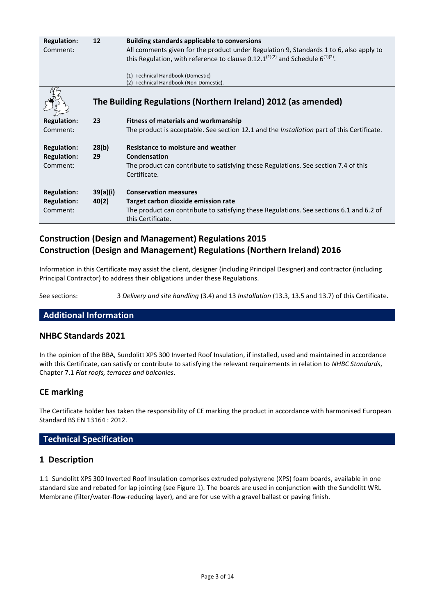| <b>Regulation:</b><br>Comment:                       | 12                | <b>Building standards applicable to conversions</b><br>All comments given for the product under Regulation 9, Standards 1 to 6, also apply to<br>this Regulation, with reference to clause $0.12.1^{(1)(2)}$ and Schedule 6 <sup>(1)(2)</sup> .<br>(1) Technical Handbook (Domestic) |
|------------------------------------------------------|-------------------|--------------------------------------------------------------------------------------------------------------------------------------------------------------------------------------------------------------------------------------------------------------------------------------|
|                                                      |                   | (2) Technical Handbook (Non-Domestic).<br>The Building Regulations (Northern Ireland) 2012 (as amended)                                                                                                                                                                              |
| <b>Regulation:</b><br>Comment:                       | 23                | <b>Fitness of materials and workmanship</b><br>The product is acceptable. See section 12.1 and the <i>Installation</i> part of this Certificate.                                                                                                                                     |
| <b>Regulation:</b><br><b>Regulation:</b><br>Comment: | 28(b)<br>29       | <b>Resistance to moisture and weather</b><br>Condensation<br>The product can contribute to satisfying these Regulations. See section 7.4 of this<br>Certificate.                                                                                                                     |
| <b>Regulation:</b><br><b>Regulation:</b><br>Comment: | 39(a)(i)<br>40(2) | <b>Conservation measures</b><br>Target carbon dioxide emission rate<br>The product can contribute to satisfying these Regulations. See sections 6.1 and 6.2 of<br>this Certificate.                                                                                                  |

# **Construction (Design and Management) Regulations 2015 Construction (Design and Management) Regulations (Northern Ireland) 2016**

Information in this Certificate may assist the client, designer (including Principal Designer) and contractor (including Principal Contractor) to address their obligations under these Regulations.

See sections: 3 *Delivery and site handling* (3.4) and 13 *Installation* (13.3, 13.5 and 13.7) of this Certificate.

# **Additional Information**

### **NHBC Standards 2021**

In the opinion of the BBA, Sundolitt XPS 300 Inverted Roof Insulation, if installed, used and maintained in accordance with this Certificate, can satisfy or contribute to satisfying the relevant requirements in relation to *NHBC Standards*, Chapter 7.1 *Flat roofs, terraces and balconies*.

### **CE marking**

The Certificate holder has taken the responsibility of CE marking the product in accordance with harmonised European Standard BS EN 13164 : 2012.

### **Technical Specification**

### **1 Description**

1.1 Sundolitt XPS 300 Inverted Roof Insulation comprises extruded polystyrene (XPS) foam boards, available in one standard size and rebated for lap jointing (see Figure 1). The boards are used in conjunction with the Sundolitt WRL Membrane (filter/water-flow-reducing layer), and are for use with a gravel ballast or paving finish.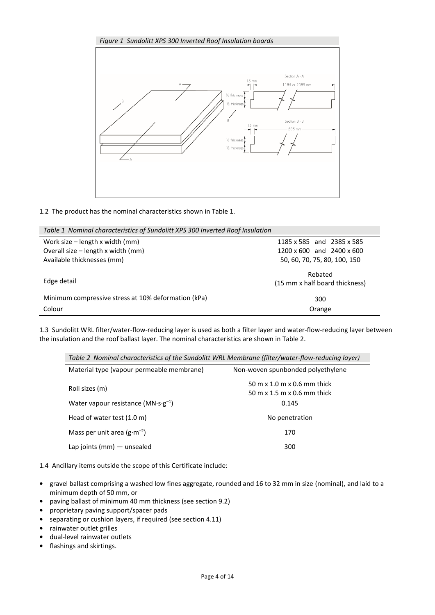

1.2 The product has the nominal characteristics shown in Table 1.

| Table 1 Nominal characteristics of Sundolitt XPS 300 Inverted Roof Insulation |                                           |  |  |
|-------------------------------------------------------------------------------|-------------------------------------------|--|--|
| Work size – length x width (mm)                                               | 1185 x 585 and 2385 x 585                 |  |  |
| Overall size - length x width (mm)                                            | 1200 x 600 and 2400 x 600                 |  |  |
| Available thicknesses (mm)                                                    | 50, 60, 70, 75, 80, 100, 150              |  |  |
| Edge detail                                                                   | Rebated<br>(15 mm x half board thickness) |  |  |
| Minimum compressive stress at 10% deformation (kPa)                           | 300                                       |  |  |
| Colour                                                                        | Orange                                    |  |  |

1.3 Sundolitt WRL filter/water-flow-reducing layer is used as both a filter layer and water-flow-reducing layer between the insulation and the roof ballast layer. The nominal characteristics are shown in Table 2.

| Material type (vapour permeable membrane)             | Non-woven spunbonded polyethylene                          |
|-------------------------------------------------------|------------------------------------------------------------|
| Roll sizes (m)                                        | 50 m x 1.0 m x 0.6 mm thick<br>50 m x 1.5 m x 0.6 mm thick |
| Water vapour resistance ( $MN \cdot s \cdot g^{-1}$ ) | 0.145                                                      |
| Head of water test (1.0 m)                            | No penetration                                             |
| Mass per unit area $(g \cdot m^{-2})$                 | 170                                                        |
| Lap joints ( $mm$ ) — unsealed                        | 300                                                        |

1.4 Ancillary items outside the scope of this Certificate include:

- **•** gravel ballast comprising a washed low fines aggregate, rounded and 16 to 32 mm in size (nominal), and laid to a minimum depth of 50 mm, or
- **•** paving ballast of minimum 40 mm thickness (see section 9.2)
- **•** proprietary paving support/spacer pads
- **•** separating or cushion layers, if required (see section 4.11)
- **•** rainwater outlet grilles
- **•** dual-level rainwater outlets
- **•** flashings and skirtings.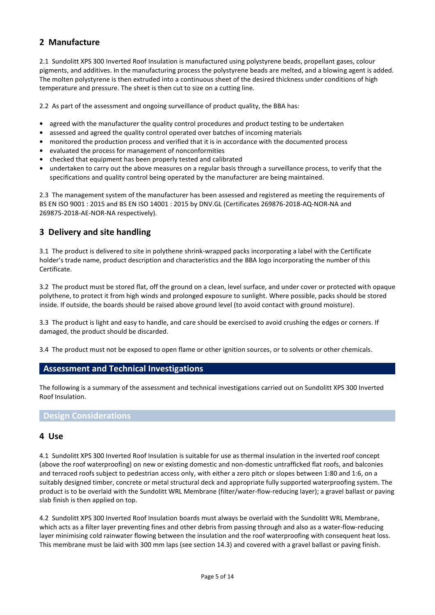# **2 Manufacture**

2.1 Sundolitt XPS 300 Inverted Roof Insulation is manufactured using polystyrene beads, propellant gases, colour pigments, and additives. In the manufacturing process the polystyrene beads are melted, and a blowing agent is added. The molten polystyrene is then extruded into a continuous sheet of the desired thickness under conditions of high temperature and pressure. The sheet is then cut to size on a cutting line.

2.2 As part of the assessment and ongoing surveillance of product quality, the BBA has:

- **•** agreed with the manufacturer the quality control procedures and product testing to be undertaken
- **•** assessed and agreed the quality control operated over batches of incoming materials
- **•** monitored the production process and verified that it is in accordance with the documented process
- **•** evaluated the process for management of nonconformities
- **•** checked that equipment has been properly tested and calibrated
- **•** undertaken to carry out the above measures on a regular basis through a surveillance process, to verify that the specifications and quality control being operated by the manufacturer are being maintained.

2.3 The management system of the manufacturer has been assessed and registered as meeting the requirements of BS EN ISO 9001 : 2015 and BS EN ISO 14001 : 2015 by DNV.GL (Certificates 269876-2018-AQ-NOR-NA and 269875-2018-AE-NOR-NA respectively).

## **3 Delivery and site handling**

3.1 The product is delivered to site in polythene shrink-wrapped packs incorporating a label with the Certificate holder's trade name, product description and characteristics and the BBA logo incorporating the number of this Certificate.

3.2 The product must be stored flat, off the ground on a clean, level surface, and under cover or protected with opaque polythene, to protect it from high winds and prolonged exposure to sunlight. Where possible, packs should be stored inside. If outside, the boards should be raised above ground level (to avoid contact with ground moisture).

3.3 The product is light and easy to handle, and care should be exercised to avoid crushing the edges or corners. If damaged, the product should be discarded.

3.4 The product must not be exposed to open flame or other ignition sources, or to solvents or other chemicals.

### **Assessment and Technical Investigations**

The following is a summary of the assessment and technical investigations carried out on Sundolitt XPS 300 Inverted Roof Insulation.

#### **Design Considerations**

#### **4 Use**

4.1 Sundolitt XPS 300 Inverted Roof Insulation is suitable for use as thermal insulation in the inverted roof concept (above the roof waterproofing) on new or existing domestic and non-domestic untrafficked flat roofs, and balconies and terraced roofs subject to pedestrian access only, with either a zero pitch or slopes between 1:80 and 1:6, on a suitably designed timber, concrete or metal structural deck and appropriate fully supported waterproofing system. The product is to be overlaid with the Sundolitt WRL Membrane (filter/water-flow-reducing layer); a gravel ballast or paving slab finish is then applied on top.

4.2 Sundolitt XPS 300 Inverted Roof Insulation boards must always be overlaid with the Sundolitt WRL Membrane, which acts as a filter layer preventing fines and other debris from passing through and also as a water-flow-reducing layer minimising cold rainwater flowing between the insulation and the roof waterproofing with consequent heat loss. This membrane must be laid with 300 mm laps (see section 14.3) and covered with a gravel ballast or paving finish.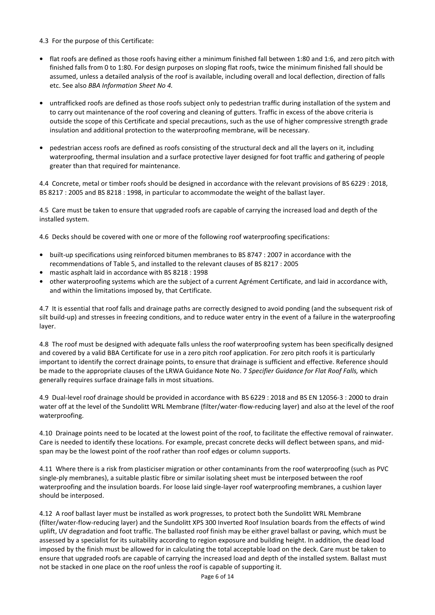4.3 For the purpose of this Certificate:

- **•** flat roofs are defined as those roofs having either a minimum finished fall between 1:80 and 1:6, and zero pitch with finished falls from 0 to 1:80. For design purposes on sloping flat roofs, twice the minimum finished fall should be assumed, unless a detailed analysis of the roof is available, including overall and local deflection, direction of falls etc. See also *BBA Information Sheet No 4.*
- **•** untrafficked roofs are defined as those roofs subject only to pedestrian traffic during installation of the system and to carry out maintenance of the roof covering and cleaning of gutters. Traffic in excess of the above criteria is outside the scope of this Certificate and special precautions, such as the use of higher compressive strength grade insulation and additional protection to the waterproofing membrane, will be necessary.
- **•** pedestrian access roofs are defined as roofs consisting of the structural deck and all the layers on it, including waterproofing, thermal insulation and a surface protective layer designed for foot traffic and gathering of people greater than that required for maintenance.

4.4 Concrete, metal or timber roofs should be designed in accordance with the relevant provisions of BS 6229 : 2018, BS 8217 : 2005 and BS 8218 : 1998, in particular to accommodate the weight of the ballast layer.

4.5 Care must be taken to ensure that upgraded roofs are capable of carrying the increased load and depth of the installed system.

4.6 Decks should be covered with one or more of the following roof waterproofing specifications:

- **•** built-up specifications using reinforced bitumen membranes to BS 8747 : 2007 in accordance with the recommendations of Table 5, and installed to the relevant clauses of BS 8217 : 2005
- **•** mastic asphalt laid in accordance with BS 8218 : 1998
- **•** other waterproofing systems which are the subject of a current Agrément Certificate, and laid in accordance with, and within the limitations imposed by, that Certificate.

4.7 It is essential that roof falls and drainage paths are correctly designed to avoid ponding (and the subsequent risk of silt build-up) and stresses in freezing conditions, and to reduce water entry in the event of a failure in the waterproofing layer.

4.8 The roof must be designed with adequate falls unless the roof waterproofing system has been specifically designed and covered by a valid BBA Certificate for use in a zero pitch roof application. For zero pitch roofs it is particularly important to identify the correct drainage points, to ensure that drainage is sufficient and effective. Reference should be made to the appropriate clauses of the LRWA Guidance Note No. 7 *Specifier Guidance for Flat Roof Falls,* which generally requires surface drainage falls in most situations.

4.9 Dual-level roof drainage should be provided in accordance with BS 6229 : 2018 and BS EN 12056-3 : 2000 to drain water off at the level of the Sundolitt WRL Membrane (filter/water-flow-reducing layer) and also at the level of the roof waterproofing.

4.10 Drainage points need to be located at the lowest point of the roof, to facilitate the effective removal of rainwater. Care is needed to identify these locations. For example, precast concrete decks will deflect between spans, and midspan may be the lowest point of the roof rather than roof edges or column supports.

4.11 Where there is a risk from plasticiser migration or other contaminants from the roof waterproofing (such as PVC single-ply membranes), a suitable plastic fibre or similar isolating sheet must be interposed between the roof waterproofing and the insulation boards. For loose laid single-layer roof waterproofing membranes, a cushion layer should be interposed.

4.12 A roof ballast layer must be installed as work progresses, to protect both the Sundolitt WRL Membrane (filter/water-flow-reducing layer) and the Sundolitt XPS 300 Inverted Roof Insulation boards from the effects of wind uplift, UV degradation and foot traffic. The ballasted roof finish may be either gravel ballast or paving, which must be assessed by a specialist for its suitability according to region exposure and building height. In addition, the dead load imposed by the finish must be allowed for in calculating the total acceptable load on the deck. Care must be taken to ensure that upgraded roofs are capable of carrying the increased load and depth of the installed system. Ballast must not be stacked in one place on the roof unless the roof is capable of supporting it.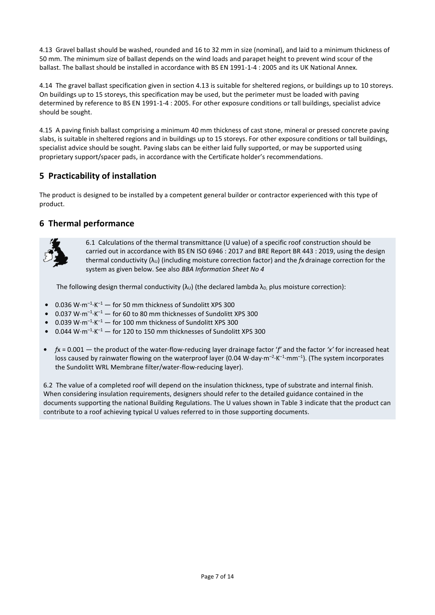4.13 Gravel ballast should be washed, rounded and 16 to 32 mm in size (nominal), and laid to a minimum thickness of 50 mm. The minimum size of ballast depends on the wind loads and parapet height to prevent wind scour of the ballast. The ballast should be installed in accordance with BS EN 1991-1-4 : 2005 and its UK National Annex.

4.14 The gravel ballast specification given in section 4.13 is suitable for sheltered regions, or buildings up to 10 storeys. On buildings up to 15 storeys, this specification may be used, but the perimeter must be loaded with paving determined by reference to BS EN 1991-1-4 : 2005. For other exposure conditions or tall buildings, specialist advice should be sought.

4.15 A paving finish ballast comprising a minimum 40 mm thickness of cast stone, mineral or pressed concrete paving slabs, is suitable in sheltered regions and in buildings up to 15 storeys. For other exposure conditions or tall buildings, specialist advice should be sought. Paving slabs can be either laid fully supported, or may be supported using proprietary support/spacer pads, in accordance with the Certificate holder's recommendations.

# **5 Practicability of installation**

The product is designed to be installed by a competent general builder or contractor experienced with this type of product.

# **6 Thermal performance**



6.1 Calculations of the thermal transmittance (U value) of a specific roof construction should be carried out in accordance with BS EN ISO 6946 : 2017 and BRE Report BR 443 : 2019, using the design thermal conductivity  $(\lambda_U)$  (including moisture correction factor) and the  $f_X$  drainage correction for the system as given below. See also *BBA Information Sheet No 4*

The following design thermal conductivity  $(\lambda_U)$  (the declared lambda  $\lambda_D$ , plus moisture correction):

- 0.036 W·m<sup>-1</sup>·K<sup>-1</sup> for 50 mm thickness of Sundolitt XPS 300
- $\bullet$  0.037 W·m<sup>-1</sup>·K<sup>-1</sup> for 60 to 80 mm thicknesses of Sundolitt XPS 300
- 0.039 W·m<sup>-1</sup>·K<sup>-1</sup> for 100 mm thickness of Sundolitt XPS 300
- $\bullet$  0.044 W·m<sup>-1</sup>·K<sup>-1</sup>  $-$  for 120 to 150 mm thicknesses of Sundolitt XPS 300
- **•** *f*x = 0.001 the product of the water-flow-reducing layer drainage factor '*f'* and the factor *'x'* for increased heat loss caused by rainwater flowing on the waterproof layer (0.04 W·day·m<sup>-2</sup>·K<sup>-1</sup>·mm<sup>-1</sup>). (The system incorporates the Sundolitt WRL Membrane filter/water-flow-reducing layer).

6.2 The value of a completed roof will depend on the insulation thickness, type of substrate and internal finish. When considering insulation requirements, designers should refer to the detailed guidance contained in the documents supporting the national Building Regulations. The U values shown in Table 3 indicate that the product can contribute to a roof achieving typical U values referred to in those supporting documents.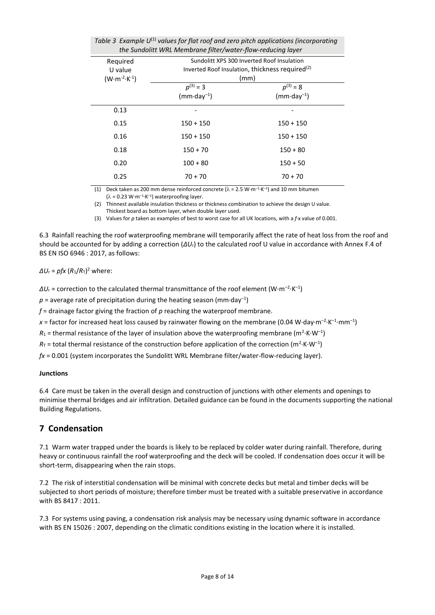| the sandonic wine inchibitane pitely water pow readenig layer |                                            |                                                             |  |
|---------------------------------------------------------------|--------------------------------------------|-------------------------------------------------------------|--|
| Required                                                      | Sundolitt XPS 300 Inverted Roof Insulation |                                                             |  |
| U value                                                       |                                            | Inverted Roof Insulation, thickness required <sup>(2)</sup> |  |
| $(W \cdot m^{-2} \cdot K^{-1})$                               |                                            | (mm)                                                        |  |
|                                                               | $p^{(3)} = 3$                              | $p^{(3)} = 8$                                               |  |
|                                                               | $(mm \cdot day^{-1})$                      | $(mm \cdot day^{-1})$                                       |  |
| 0.13                                                          |                                            |                                                             |  |
| 0.15                                                          | $150 + 150$                                | $150 + 150$                                                 |  |
| 0.16                                                          | $150 + 150$                                | $150 + 150$                                                 |  |
| 0.18                                                          | $150 + 70$                                 | $150 + 80$                                                  |  |
| 0.20                                                          | $100 + 80$                                 | $150 + 50$                                                  |  |
| 0.25                                                          | $70 + 70$                                  | $70 + 70$                                                   |  |

| Table 3 Example $U^{(1)}$ values for flat roof and zero pitch applications (incorporating |  |  |
|-------------------------------------------------------------------------------------------|--|--|
| the Sundolitt WRL Membrane filter/water-flow-reducing layer                               |  |  |

(1) Deck taken as 200 mm dense reinforced concrete ( $\lambda = 2.5$  W·m<sup>-1</sup>·K<sup>-1</sup>) and 10 mm bitumen

 $(\lambda = 0.23 \text{ W} \cdot \text{m}^{-1} \cdot \text{K}^{-1})$  waterproofing layer.

(2) Thinnest available insulation thickness or thickness combination to achieve the design U value. Thickest board as bottom layer, when double layer used.

(3) Values for *p* taken as examples of best to worst case for all UK locations, with a *f*·x value of 0.001.

6.3 Rainfall reaching the roof waterproofing membrane will temporarily affect the rate of heat loss from the roof and should be accounted for by adding a correction (*∆U*r) to the calculated roof U value in accordance with Annex F.4 of BS EN ISO 6946 : 2017, as follows:

*∆U*<sup>r</sup> = *pfx* (*R*1/*R*T) <sup>2</sup> where:

 $\Delta U$ r = correction to the calculated thermal transmittance of the roof element (W·m<sup>-2</sup>·K<sup>-1</sup>)

 $p$  = average rate of precipitation during the heating season (mm·day<sup>-1</sup>)

*f* = drainage factor giving the fraction of *p* reaching the waterproof membrane.

x = factor for increased heat loss caused by rainwater flowing on the membrane (0.04 W·day·m<sup>-2</sup>·K<sup>-1</sup>·mm<sup>-1</sup>)

 $R_1$  = thermal resistance of the layer of insulation above the waterproofing membrane (m<sup>2</sup>·K·W<sup>-1</sup>)

 $R_{\text{I}}$  = total thermal resistance of the construction before application of the correction (m<sup>2</sup>·K·W<sup>-1</sup>)

*fx* = 0.001 (system incorporates the Sundolitt WRL Membrane filter/water-flow-reducing layer).

#### **Junctions**

6.4 Care must be taken in the overall design and construction of junctions with other elements and openings to minimise thermal bridges and air infiltration. Detailed guidance can be found in the documents supporting the national Building Regulations.

# **7 Condensation**

7.1 Warm water trapped under the boards is likely to be replaced by colder water during rainfall. Therefore, during heavy or continuous rainfall the roof waterproofing and the deck will be cooled. If condensation does occur it will be short-term, disappearing when the rain stops.

7.2 The risk of interstitial condensation will be minimal with concrete decks but metal and timber decks will be subjected to short periods of moisture; therefore timber must be treated with a suitable preservative in accordance with BS 8417 : 2011.

7.3 For systems using paving, a condensation risk analysis may be necessary using dynamic software in accordance with BS EN 15026 : 2007, depending on the climatic conditions existing in the location where it is installed.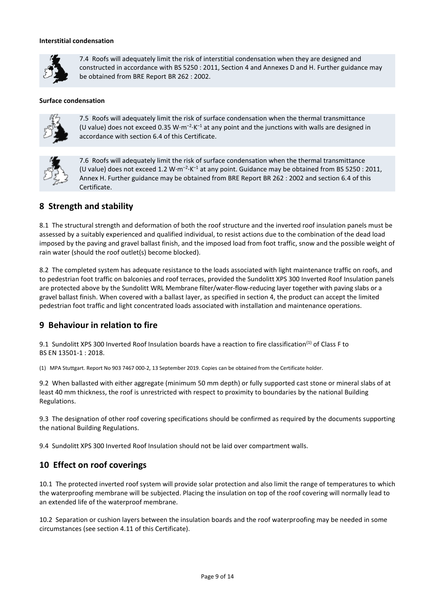#### **Interstitial condensation**



7.4 Roofs will adequately limit the risk of interstitial condensation when they are designed and constructed in accordance with BS 5250 : 2011, Section 4 and Annexes D and H. Further guidance may be obtained from BRE Report BR 262 : 2002.

#### **Surface condensation**



7.5 Roofs will adequately limit the risk of surface condensation when the thermal transmittance (U value) does not exceed 0.35 W·m<sup>-2</sup>·K<sup>-1</sup> at any point and the junctions with walls are designed in accordance with section 6.4 of this Certificate.

7.6 Roofs will adequately limit the risk of surface condensation when the thermal transmittance (U value) does not exceed 1.2 W $\cdot$ m<sup>-2</sup> $\cdot$ K<sup>-1</sup> at any point. Guidance may be obtained from BS 5250 : 2011, Annex H. Further guidance may be obtained from BRE Report BR 262 : 2002 and section 6.4 of this Certificate.

# **8 Strength and stability**

8.1 The structural strength and deformation of both the roof structure and the inverted roof insulation panels must be assessed by a suitably experienced and qualified individual, to resist actions due to the combination of the dead load imposed by the paving and gravel ballast finish, and the imposed load from foot traffic, snow and the possible weight of rain water (should the roof outlet(s) become blocked).

8.2 The completed system has adequate resistance to the loads associated with light maintenance traffic on roofs, and to pedestrian foot traffic on balconies and roof terraces, provided the Sundolitt XPS 300 Inverted Roof Insulation panels are protected above by the Sundolitt WRL Membrane filter/water-flow-reducing layer together with paving slabs or a gravel ballast finish. When covered with a ballast layer, as specified in section 4, the product can accept the limited pedestrian foot traffic and light concentrated loads associated with installation and maintenance operations.

# **9 Behaviour in relation to fire**

9.1 Sundolitt XPS 300 Inverted Roof Insulation boards have a reaction to fire classification<sup>(1)</sup> of Class F to BS EN 13501-1 : 2018.

(1) MPA Stuttgart. Report No 903 7467 000-2, 13 September 2019. Copies can be obtained from the Certificate holder.

9.2 When ballasted with either aggregate (minimum 50 mm depth) or fully supported cast stone or mineral slabs of at least 40 mm thickness, the roof is unrestricted with respect to proximity to boundaries by the national Building Regulations.

9.3 The designation of other roof covering specifications should be confirmed as required by the documents supporting the national Building Regulations.

9.4 Sundolitt XPS 300 Inverted Roof Insulation should not be laid over compartment walls.

# **10 Effect on roof coverings**

10.1 The protected inverted roof system will provide solar protection and also limit the range of temperatures to which the waterproofing membrane will be subjected. Placing the insulation on top of the roof covering will normally lead to an extended life of the waterproof membrane.

10.2 Separation or cushion layers between the insulation boards and the roof waterproofing may be needed in some circumstances (see section 4.11 of this Certificate).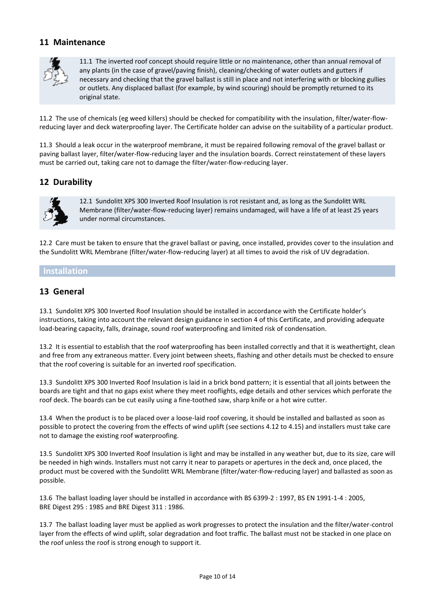## **11 Maintenance**



11.1 The inverted roof concept should require little or no maintenance, other than annual removal of any plants (in the case of gravel/paving finish), cleaning/checking of water outlets and gutters if necessary and checking that the gravel ballast is still in place and not interfering with or blocking gullies or outlets. Any displaced ballast (for example, by wind scouring) should be promptly returned to its original state.

11.2 The use of chemicals (eg weed killers) should be checked for compatibility with the insulation, filter/water-flowreducing layer and deck waterproofing layer. The Certificate holder can advise on the suitability of a particular product.

11.3 Should a leak occur in the waterproof membrane, it must be repaired following removal of the gravel ballast or paving ballast layer, filter/water-flow-reducing layer and the insulation boards. Correct reinstatement of these layers must be carried out, taking care not to damage the filter/water-flow-reducing layer.

# **12 Durability**



12.1 Sundolitt XPS 300 Inverted Roof Insulation is rot resistant and, as long as the Sundolitt WRL Membrane (filter/water-flow-reducing layer) remains undamaged, will have a life of at least 25 years under normal circumstances.

12.2 Care must be taken to ensure that the gravel ballast or paving, once installed, provides cover to the insulation and the Sundolitt WRL Membrane (filter/water-flow-reducing layer) at all times to avoid the risk of UV degradation.

### **Installation**

### **13 General**

13.1 Sundolitt XPS 300 Inverted Roof Insulation should be installed in accordance with the Certificate holder's instructions, taking into account the relevant design guidance in section 4 of this Certificate, and providing adequate load-bearing capacity, falls, drainage, sound roof waterproofing and limited risk of condensation.

13.2 It is essential to establish that the roof waterproofing has been installed correctly and that it is weathertight, clean and free from any extraneous matter. Every joint between sheets, flashing and other details must be checked to ensure that the roof covering is suitable for an inverted roof specification.

13.3 Sundolitt XPS 300 Inverted Roof Insulation is laid in a brick bond pattern; it is essential that all joints between the boards are tight and that no gaps exist where they meet rooflights, edge details and other services which perforate the roof deck. The boards can be cut easily using a fine-toothed saw, sharp knife or a hot wire cutter.

13.4 When the product is to be placed over a loose-laid roof covering, it should be installed and ballasted as soon as possible to protect the covering from the effects of wind uplift (see sections 4.12 to 4.15) and installers must take care not to damage the existing roof waterproofing.

13.5 Sundolitt XPS 300 Inverted Roof Insulation is light and may be installed in any weather but, due to its size, care will be needed in high winds. Installers must not carry it near to parapets or apertures in the deck and, once placed, the product must be covered with the Sundolitt WRL Membrane (filter/water-flow-reducing layer) and ballasted as soon as possible.

13.6 The ballast loading layer should be installed in accordance with BS 6399-2 : 1997, BS EN 1991-1-4 : 2005, BRE Digest 295 : 1985 and BRE Digest 311 : 1986.

13.7 The ballast loading layer must be applied as work progresses to protect the insulation and the filter/water-control layer from the effects of wind uplift, solar degradation and foot traffic. The ballast must not be stacked in one place on the roof unless the roof is strong enough to support it.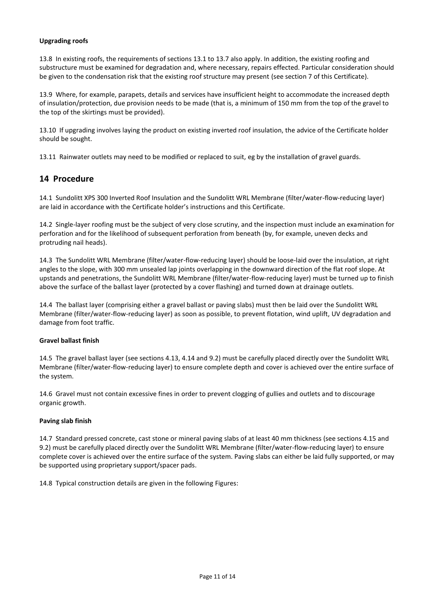#### **Upgrading roofs**

13.8 In existing roofs, the requirements of sections 13.1 to 13.7 also apply. In addition, the existing roofing and substructure must be examined for degradation and, where necessary, repairs effected. Particular consideration should be given to the condensation risk that the existing roof structure may present (see section 7 of this Certificate).

13.9 Where, for example, parapets, details and services have insufficient height to accommodate the increased depth of insulation/protection, due provision needs to be made (that is, a minimum of 150 mm from the top of the gravel to the top of the skirtings must be provided).

13.10 If upgrading involves laying the product on existing inverted roof insulation, the advice of the Certificate holder should be sought.

13.11 Rainwater outlets may need to be modified or replaced to suit, eg by the installation of gravel guards.

## **14 Procedure**

14.1 Sundolitt XPS 300 Inverted Roof Insulation and the Sundolitt WRL Membrane (filter/water-flow-reducing layer) are laid in accordance with the Certificate holder's instructions and this Certificate.

14.2 Single-layer roofing must be the subject of very close scrutiny, and the inspection must include an examination for perforation and for the likelihood of subsequent perforation from beneath (by, for example, uneven decks and protruding nail heads).

14.3 The Sundolitt WRL Membrane (filter/water-flow-reducing layer) should be loose-laid over the insulation, at right angles to the slope, with 300 mm unsealed lap joints overlapping in the downward direction of the flat roof slope. At upstands and penetrations, the Sundolitt WRL Membrane (filter/water-flow-reducing layer) must be turned up to finish above the surface of the ballast layer (protected by a cover flashing) and turned down at drainage outlets.

14.4 The ballast layer (comprising either a gravel ballast or paving slabs) must then be laid over the Sundolitt WRL Membrane (filter/water-flow-reducing layer) as soon as possible, to prevent flotation, wind uplift, UV degradation and damage from foot traffic.

#### **Gravel ballast finish**

14.5 The gravel ballast layer (see sections 4.13, 4.14 and 9.2) must be carefully placed directly over the Sundolitt WRL Membrane (filter/water-flow-reducing layer) to ensure complete depth and cover is achieved over the entire surface of the system.

14.6 Gravel must not contain excessive fines in order to prevent clogging of gullies and outlets and to discourage organic growth.

#### **Paving slab finish**

14.7 Standard pressed concrete, cast stone or mineral paving slabs of at least 40 mm thickness (see sections 4.15 and 9.2) must be carefully placed directly over the Sundolitt WRL Membrane (filter/water-flow-reducing layer) to ensure complete cover is achieved over the entire surface of the system. Paving slabs can either be laid fully supported, or may be supported using proprietary support/spacer pads.

14.8 Typical construction details are given in the following Figures: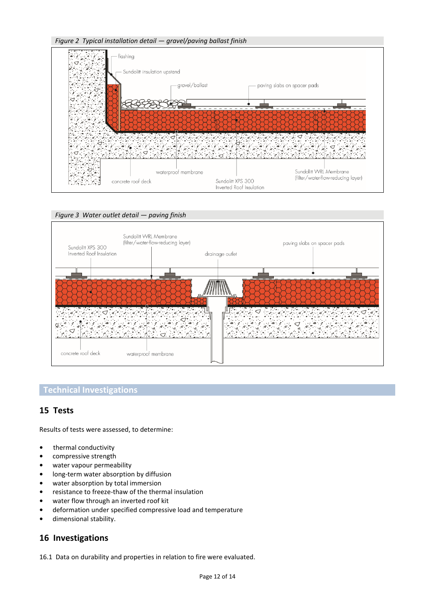

### *Figure 3 Water outlet detail — paving finish*



### **Technical Investigations**

# **15 Tests**

Results of tests were assessed, to determine:

- **•** thermal conductivity
- **•** compressive strength
- **•** water vapour permeability
- **•** long-term water absorption by diffusion
- **•** water absorption by total immersion
- **•** resistance to freeze-thaw of the thermal insulation
- **•** water flow through an inverted roof kit
- **•** deformation under specified compressive load and temperature
- **•** dimensional stability.

### **16 Investigations**

16.1 Data on durability and properties in relation to fire were evaluated.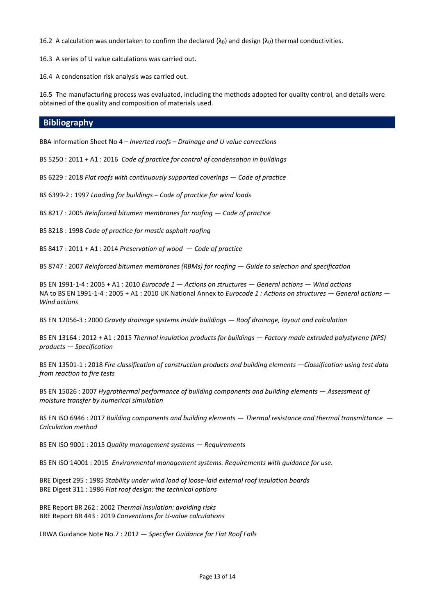16.2 A calculation was undertaken to confirm the declared ( $\lambda$ <sub>D</sub>) and design ( $\lambda$ <sub>U</sub>) thermal conductivities.

16.3 A series of U value calculations was carried out.

16.4 A condensation risk analysis was carried out.

16.5 The manufacturing process was evaluated, including the methods adopted for quality control, and details were obtained of the quality and composition of materials used.

#### **Bibliography**

BBA Information Sheet No 4 – *Inverted roofs – Drainage and U value corrections*

BS 5250 : 2011 + A1 : 2016 *Code of practice for control of condensation in buildings*

BS 6229 : 2018 *Flat roofs with continuously supported coverings — Code of practice*

BS 6399-2 : 1997 *Loading for buildings – Code of practice for wind loads*

BS 8217 : 2005 *Reinforced bitumen membranes for roofing — Code of practice*

BS 8218 : 1998 *Code of practice for mastic asphalt roofing*

BS 8417 : 2011 + A1 : 2014 *Preservation of wood — Code of practice*

BS 8747 : 2007 *Reinforced bitumen membranes (RBMs) for roofing — Guide to selection and specification*

BS EN 1991-1-4 : 2005 + A1 : 2010 *Eurocode 1 — Actions on structures — General actions — Wind actions* NA to BS EN 1991-1-4 : 2005 + A1 : 2010 UK National Annex to *Eurocode 1 : Actions on structures — General actions — Wind actions*

BS EN 12056-3 : 2000 *Gravity drainage systems inside buildings — Roof drainage, layout and calculation*

BS EN 13164 : 2012 + A1 : 2015 *Thermal insulation products for buildings — Factory made extruded polystyrene (XPS) products — Specification*

BS EN 13501-1 : 2018 *Fire classification of construction products and building elements —Classification using test data from reaction to fire tests*

BS EN 15026 : 2007 *Hygrothermal performance of building components and building elements — Assessment of moisture transfer by numerical simulation*

BS EN ISO 6946 : 2017 *Building components and building elements — Thermal resistance and thermal transmittance — Calculation method*

BS EN ISO 9001 : 2015 *Quality management systems — Requirements*

BS EN ISO 14001 : 2015 *Environmental management systems. Requirements with guidance for use.*

BRE Digest 295 : 1985 *Stability under wind load of loose-laid external roof insulation boards* BRE Digest 311 : 1986 *Flat roof design: the technical options*

BRE Report BR 262 : 2002 *Thermal insulation: avoiding risks* BRE Report BR 443 : 2019 *Conventions for U-value calculations*

LRWA Guidance Note No.7 : 2012 *— Specifier Guidance for Flat Roof Falls*